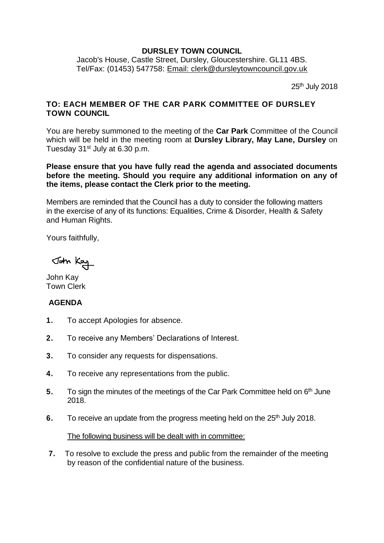## **DURSLEY TOWN COUNCIL**

Jacob's House, Castle Street, Dursley, Gloucestershire. GL11 4BS. Tel/Fax: (01453) 547758: [Email: clerk@dursleytowncouncil.gov.uk](mailto:clerk@dursleytowncouncil.gov.uk)

25th July 2018

## **TO: EACH MEMBER OF THE CAR PARK COMMITTEE OF DURSLEY TOWN COUNCIL**

You are hereby summoned to the meeting of the **Car Park** Committee of the Council which will be held in the meeting room at **Dursley Library, May Lane, Dursley** on Tuesday 31<sup>st</sup> July at 6.30 p.m.

**Please ensure that you have fully read the agenda and associated documents before the meeting. Should you require any additional information on any of the items, please contact the Clerk prior to the meeting.** 

Members are reminded that the Council has a duty to consider the following matters in the exercise of any of its functions: Equalities, Crime & Disorder, Health & Safety and Human Rights.

Yours faithfully,

John Kay

John Kay Town Clerk

## **AGENDA**

- **1.** To accept Apologies for absence.
- **2.** To receive any Members' Declarations of Interest.
- **3.** To consider any requests for dispensations.
- **4.** To receive any representations from the public.
- **5.** To sign the minutes of the meetings of the Car Park Committee held on 6<sup>th</sup> June 2018.
- **6.** To receive an update from the progress meeting held on the 25<sup>th</sup> July 2018.

## The following business will be dealt with in committee:

**7.** To resolve to exclude the press and public from the remainder of the meeting by reason of the confidential nature of the business.